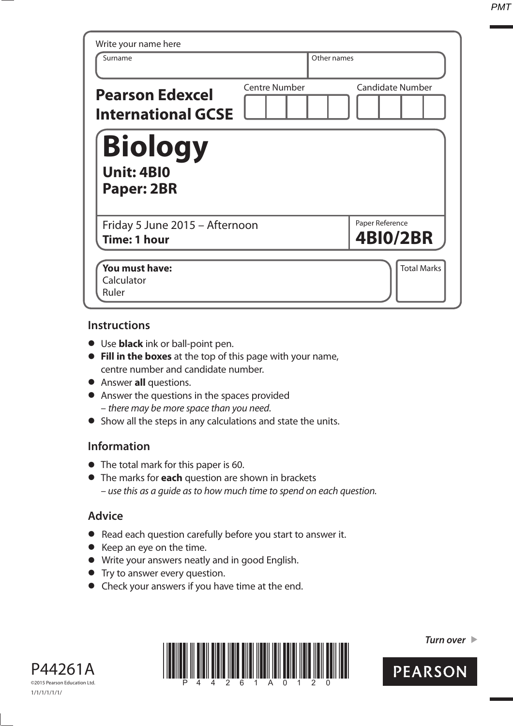*PMT*

| Write your name here                                     |                      |             |                                    |
|----------------------------------------------------------|----------------------|-------------|------------------------------------|
| Surname                                                  |                      | Other names |                                    |
| <b>Pearson Edexcel</b><br><b>International GCSE</b>      | <b>Centre Number</b> |             | <b>Candidate Number</b>            |
| <b>Biology</b><br><b>Unit: 4BI0</b><br><b>Paper: 2BR</b> |                      |             |                                    |
| Friday 5 June 2015 - Afternoon<br>Time: 1 hour           |                      |             | Paper Reference<br><b>4BI0/2BR</b> |
| You must have:<br>Calculator<br>Ruler                    |                      |             | <b>Total Marks</b>                 |

#### **Instructions**

- **t** Use **black** ink or ball-point pen.
- **Fill in the boxes** at the top of this page with your name, centre number and candidate number.
- **•** Answer **all** questions.
- **•** Answer the questions in the spaces provided – there may be more space than you need.
- **•** Show all the steps in any calculations and state the units.

## **Information**

- **•** The total mark for this paper is 60.
- **t** The marks for **each** question are shown in brackets – use this as a guide as to how much time to spend on each question.

## **Advice**

- **t** Read each question carefully before you start to answer it.
- **t** Keep an eye on the time.
- **t** Write your answers neatly and in good English.
- **•** Try to answer every question.
- **•** Check your answers if you have time at the end.





*Turn over* 

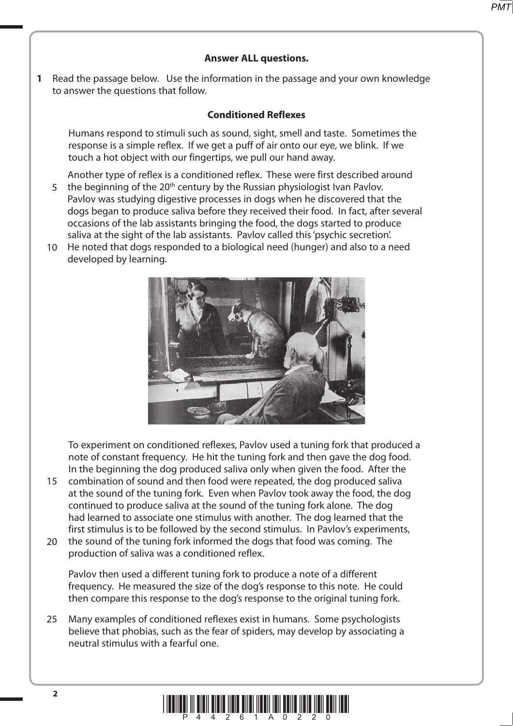#### **Answer ALL questions.**

**1** Read the passage below. Use the information in the passage and your own knowledge to answer the questions that follow.

# **Conditioned Reflexes**

 Humans respond to stimuli such as sound, sight, smell and taste. Sometimes the response is a simple reflex. If we get a puff of air onto our eye, we blink. If we touch a hot object with our fingertips, we pull our hand away.

Another type of reflex is a conditioned reflex. These were first described around

- 5 the beginning of the  $20<sup>th</sup>$  century by the Russian physiologist Ivan Pavlov. Pavlov was studying digestive processes in dogs when he discovered that the dogs began to produce saliva before they received their food. In fact, after several occasions of the lab assistants bringing the food, the dogs started to produce saliva at the sight of the lab assistants. Pavlov called this 'psychic secretion'.
- 10 He noted that dogs responded to a biological need (hunger) and also to a need developed by learning.



 To experiment on conditioned reflexes, Pavlov used a tuning fork that produced a note of constant frequency. He hit the tuning fork and then gave the dog food. In the beginning the dog produced saliva only when given the food. After the

- combination of sound and then food were repeated, the dog produced saliva at the sound of the tuning fork. Even when Pavlov took away the food, the dog continued to produce saliva at the sound of the tuning fork alone. The dog had learned to associate one stimulus with another. The dog learned that the first stimulus is to be followed by the second stimulus. In Pavlov's experiments, 15
- 20 the sound of the tuning fork informed the dogs that food was coming. The production of saliva was a conditioned reflex.

 Pavlov then used a different tuning fork to produce a note of a different frequency. He measured the size of the dog's response to this note. He could then compare this response to the dog's response to the original tuning fork.

 Many examples of conditioned reflexes exist in humans. Some psychologists believe that phobias, such as the fear of spiders, may develop by associating a neutral stimulus with a fearful one. 25

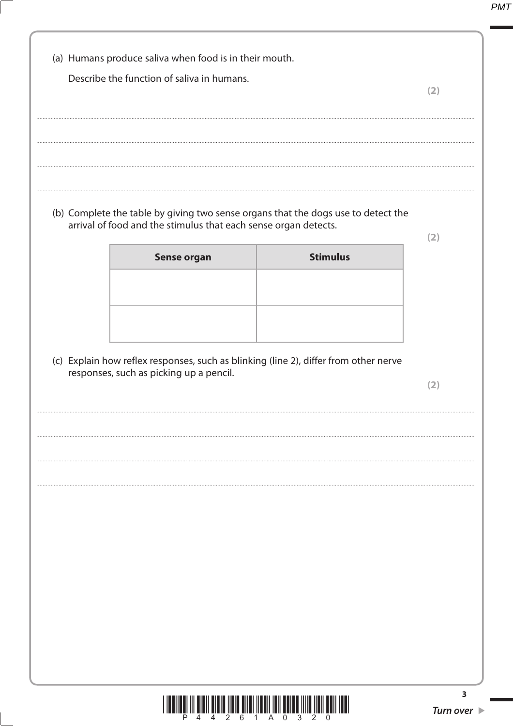| (a) Humans produce saliva when food is in their mouth.<br>Describe the function of saliva in humans. |                                                                                   |     |
|------------------------------------------------------------------------------------------------------|-----------------------------------------------------------------------------------|-----|
|                                                                                                      |                                                                                   | (2) |
|                                                                                                      |                                                                                   |     |
|                                                                                                      |                                                                                   |     |
|                                                                                                      |                                                                                   |     |
| arrival of food and the stimulus that each sense organ detects.                                      | (b) Complete the table by giving two sense organs that the dogs use to detect the |     |
| <b>Sense organ</b>                                                                                   | <b>Stimulus</b>                                                                   | (2) |
|                                                                                                      |                                                                                   |     |
|                                                                                                      |                                                                                   |     |
|                                                                                                      |                                                                                   |     |
|                                                                                                      |                                                                                   |     |
| (c) Explain how reflex responses, such as blinking (line 2), differ from other nerve                 |                                                                                   |     |
| responses, such as picking up a pencil.                                                              |                                                                                   |     |
|                                                                                                      |                                                                                   | (2) |
|                                                                                                      |                                                                                   |     |
|                                                                                                      |                                                                                   |     |
|                                                                                                      |                                                                                   |     |
|                                                                                                      |                                                                                   |     |
|                                                                                                      |                                                                                   |     |
|                                                                                                      |                                                                                   |     |
|                                                                                                      |                                                                                   |     |
|                                                                                                      |                                                                                   |     |
|                                                                                                      |                                                                                   |     |
|                                                                                                      |                                                                                   |     |
|                                                                                                      |                                                                                   |     |

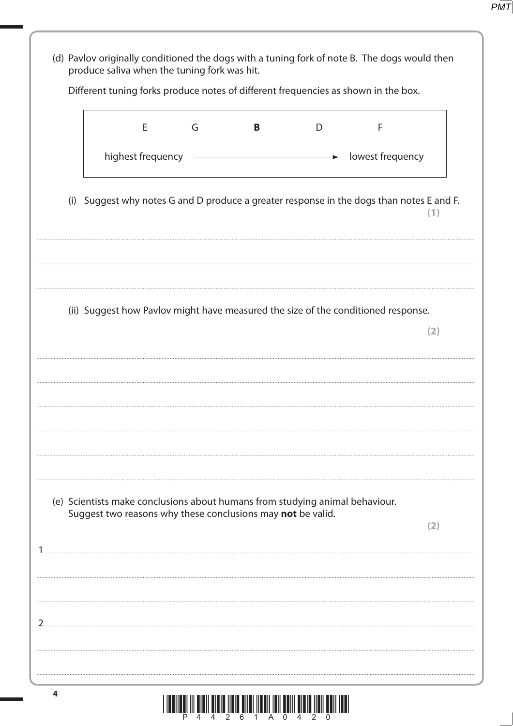|  |                   |   |                                                                                                                                             |                       | Different tuning forks produce notes of different frequencies as shown in the box.       |     |
|--|-------------------|---|---------------------------------------------------------------------------------------------------------------------------------------------|-----------------------|------------------------------------------------------------------------------------------|-----|
|  | E                 | G | B                                                                                                                                           | D                     | F                                                                                        |     |
|  | highest frequency |   |                                                                                                                                             | $\blacktriangleright$ | lowest frequency                                                                         |     |
|  |                   |   |                                                                                                                                             |                       | (i) Suggest why notes G and D produce a greater response in the dogs than notes E and F. | (1) |
|  |                   |   |                                                                                                                                             |                       | (ii) Suggest how Pavlov might have measured the size of the conditioned response.        |     |
|  |                   |   |                                                                                                                                             |                       |                                                                                          | (2) |
|  |                   |   |                                                                                                                                             |                       |                                                                                          |     |
|  |                   |   |                                                                                                                                             |                       |                                                                                          |     |
|  |                   |   | (e) Scientists make conclusions about humans from studying animal behaviour.<br>Suggest two reasons why these conclusions may not be valid. |                       |                                                                                          |     |
|  |                   |   |                                                                                                                                             |                       |                                                                                          | (2) |
|  |                   |   |                                                                                                                                             |                       |                                                                                          |     |
|  |                   |   |                                                                                                                                             |                       |                                                                                          |     |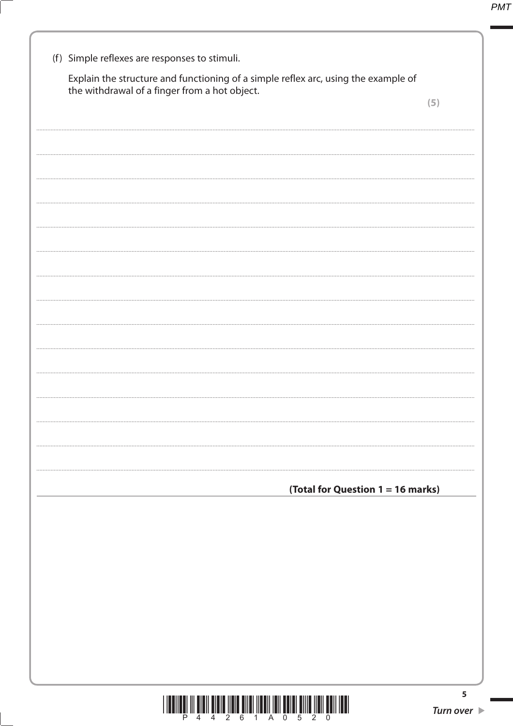| Explain the structure and functioning of a simple reflex arc, using the example of |                                   |
|------------------------------------------------------------------------------------|-----------------------------------|
| the withdrawal of a finger from a hot object.                                      | (5)                               |
|                                                                                    |                                   |
|                                                                                    |                                   |
|                                                                                    |                                   |
|                                                                                    |                                   |
|                                                                                    |                                   |
|                                                                                    |                                   |
|                                                                                    |                                   |
|                                                                                    |                                   |
|                                                                                    |                                   |
|                                                                                    |                                   |
|                                                                                    |                                   |
|                                                                                    |                                   |
|                                                                                    |                                   |
|                                                                                    |                                   |
|                                                                                    |                                   |
|                                                                                    |                                   |
|                                                                                    | (Total for Question 1 = 16 marks) |
|                                                                                    |                                   |
|                                                                                    |                                   |
|                                                                                    |                                   |
|                                                                                    |                                   |
|                                                                                    |                                   |
|                                                                                    |                                   |
|                                                                                    |                                   |
|                                                                                    |                                   |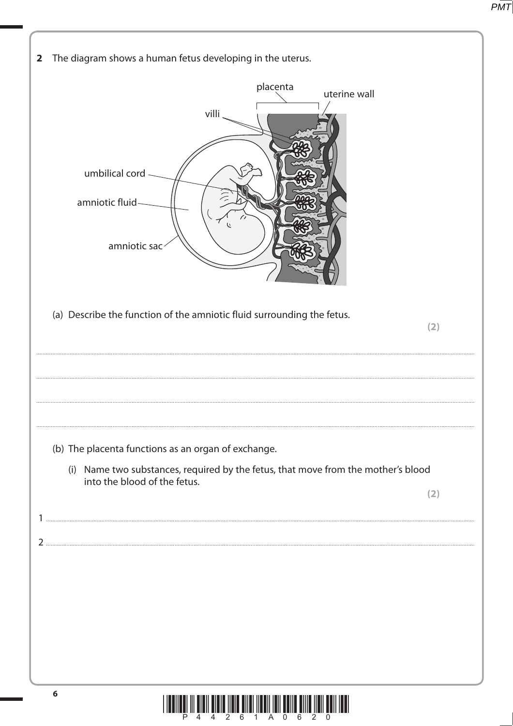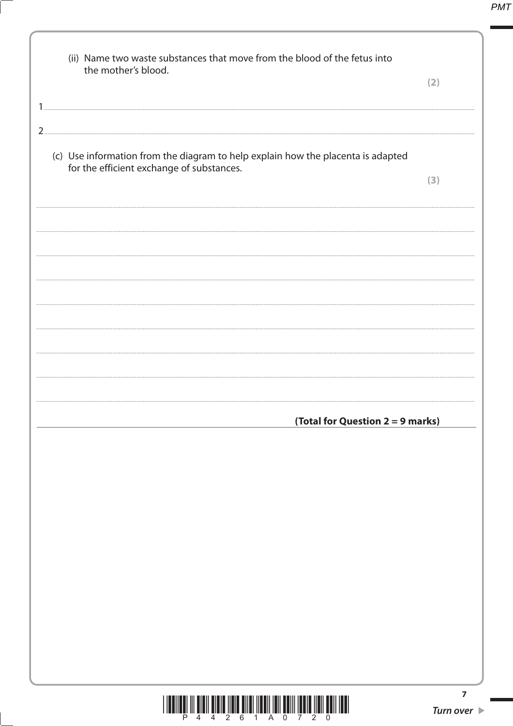| (ii) Name two waste substances that move from the blood of the fetus into<br>the mother's blood.                              |     |
|-------------------------------------------------------------------------------------------------------------------------------|-----|
|                                                                                                                               | (2) |
|                                                                                                                               |     |
|                                                                                                                               |     |
|                                                                                                                               |     |
| (c) Use information from the diagram to help explain how the placenta is adapted<br>for the efficient exchange of substances. |     |
|                                                                                                                               | (3) |
|                                                                                                                               |     |
|                                                                                                                               |     |
|                                                                                                                               |     |
|                                                                                                                               |     |
|                                                                                                                               |     |
|                                                                                                                               |     |
|                                                                                                                               |     |
|                                                                                                                               |     |
|                                                                                                                               |     |
|                                                                                                                               |     |
|                                                                                                                               |     |
| (Total for Question 2 = 9 marks)                                                                                              |     |
|                                                                                                                               |     |
|                                                                                                                               |     |
|                                                                                                                               |     |
|                                                                                                                               |     |
|                                                                                                                               |     |
|                                                                                                                               |     |
|                                                                                                                               |     |
|                                                                                                                               |     |
|                                                                                                                               |     |
|                                                                                                                               |     |
|                                                                                                                               |     |
|                                                                                                                               |     |
|                                                                                                                               |     |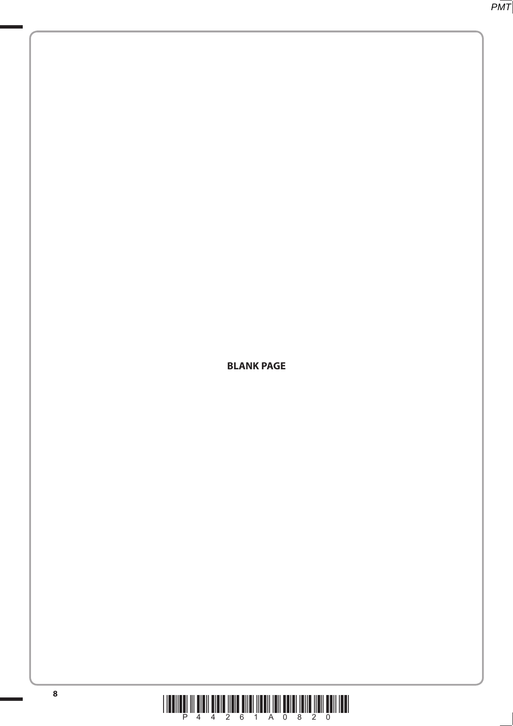**BLANK PAGE** 

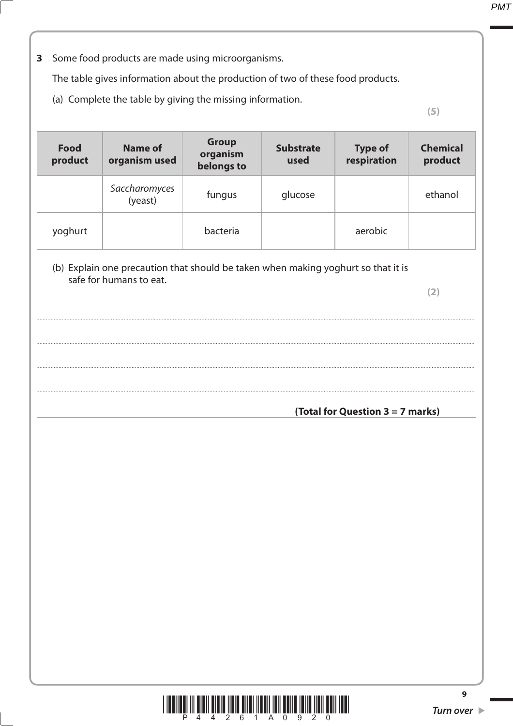3 Some food products are made using microorganisms.

The table gives information about the production of two of these food products.

(a) Complete the table by giving the missing information.

 $(5)$ 

| <b>Food</b><br>product | <b>Name of</b><br>organism used | <b>Group</b><br>organism<br>belongs to | <b>Substrate</b><br>used | <b>Type of</b><br>respiration | <b>Chemical</b><br>product |
|------------------------|---------------------------------|----------------------------------------|--------------------------|-------------------------------|----------------------------|
|                        | Saccharomyces<br>(yeast)        | fungus                                 | glucose                  |                               | ethanol                    |
| yoghurt                |                                 | bacteria                               |                          | aerobic                       |                            |

(b) Explain one precaution that should be taken when making yoghurt so that it is safe for humans to eat.

 $(2)$ 

# (Total for Question  $3 = 7$  marks)

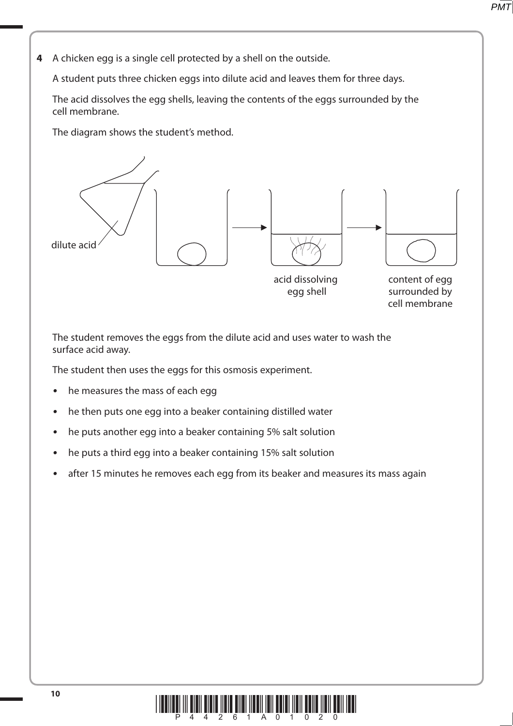**4** A chicken egg is a single cell protected by a shell on the outside.

A student puts three chicken eggs into dilute acid and leaves them for three days.

 The acid dissolves the egg shells, leaving the contents of the eggs surrounded by the cell membrane.

The diagram shows the student's method.



 The student removes the eggs from the dilute acid and uses water to wash the surface acid away.

The student then uses the eggs for this osmosis experiment.

- *ͻ* he measures the mass of each egg
- *ͻ* he then puts one egg into a beaker containing distilled water
- he puts another egg into a beaker containing 5% salt solution
- he puts a third egg into a beaker containing 15% salt solution
- after 15 minutes he removes each egg from its beaker and measures its mass again

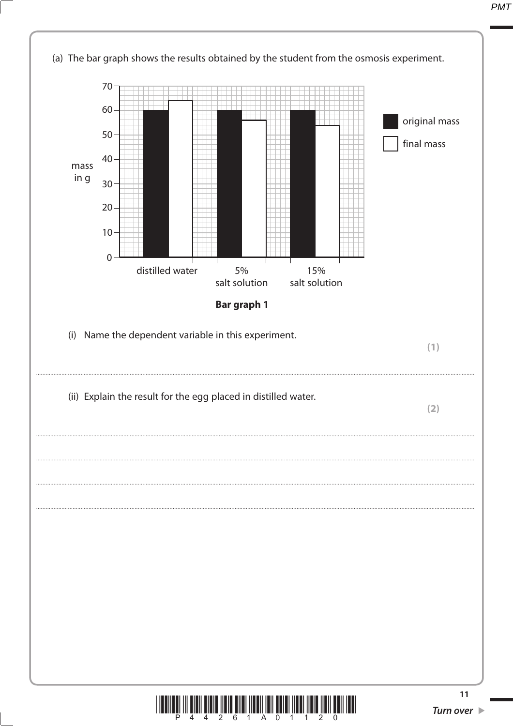

 $\overline{4}$ 

 $2 \quad 0$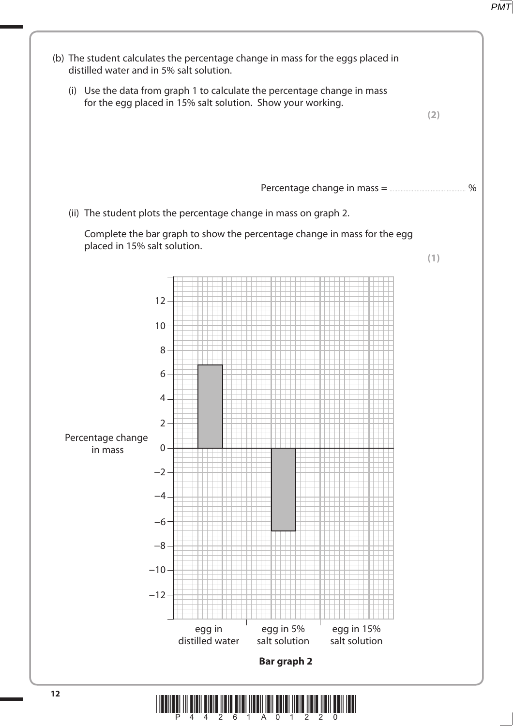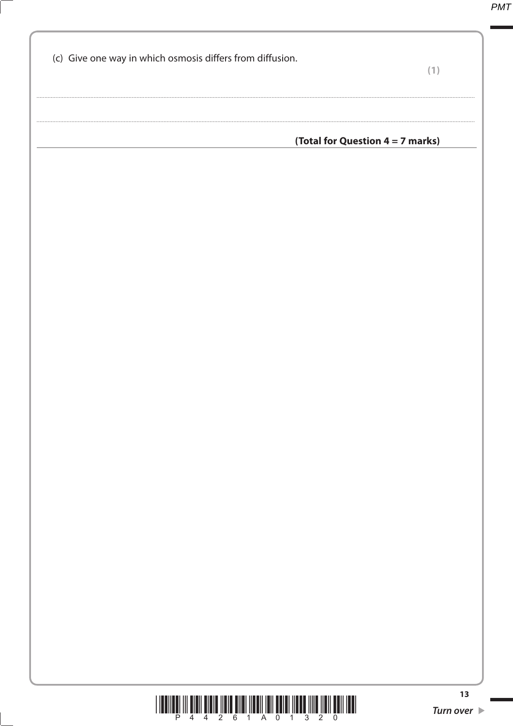| (c) Give one way in which osmosis differs from diffusion. | (1)                                   |
|-----------------------------------------------------------|---------------------------------------|
| (Total for Question 4 = 7 marks)                          |                                       |
|                                                           |                                       |
|                                                           |                                       |
|                                                           |                                       |
|                                                           |                                       |
|                                                           |                                       |
|                                                           |                                       |
|                                                           |                                       |
|                                                           |                                       |
|                                                           |                                       |
|                                                           | 13<br>Turn over $\blacktriangleright$ |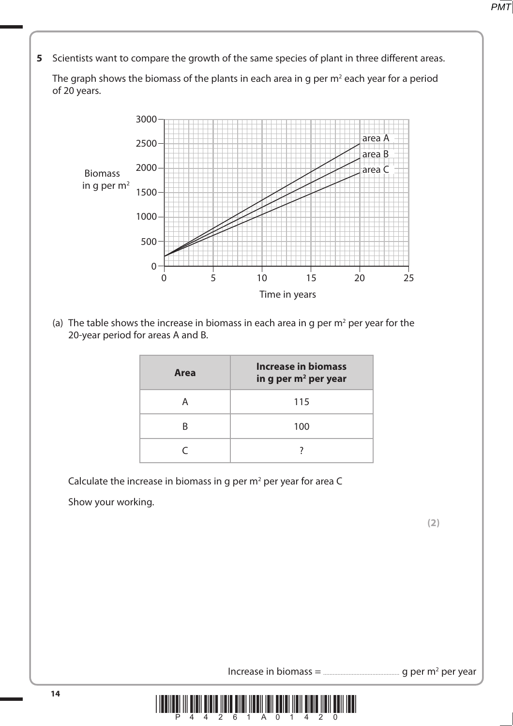**5** Scientists want to compare the growth of the same species of plant in three different areas.

The graph shows the biomass of the plants in each area in g per  $m<sup>2</sup>$  each year for a period of 20 years.



(a) The table shows the increase in biomass in each area in g per  $m<sup>2</sup>$  per year for the 20-year period for areas A and B.

| Area | <b>Increase in biomass</b><br>in g per $m2$ per year |
|------|------------------------------------------------------|
| А    | 115                                                  |
| R    | 100                                                  |
|      |                                                      |

Calculate the increase in biomass in g per  $m<sup>2</sup>$  per year for area C

Show your working.

**(2)**

Increase in biomass = ................................................ g per m2

.... g per  $m^2$  per year

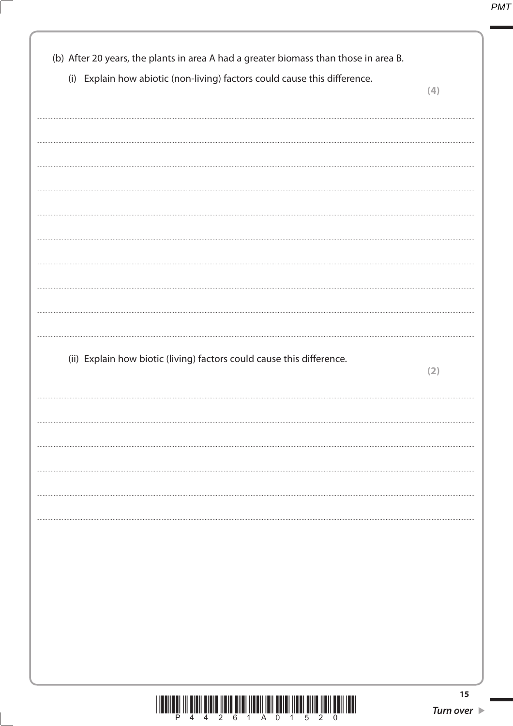| (2) | (i) Explain how abiotic (non-living) factors could cause this difference. | (4) |
|-----|---------------------------------------------------------------------------|-----|
|     |                                                                           |     |
|     |                                                                           |     |
|     |                                                                           |     |
|     |                                                                           |     |
|     |                                                                           |     |
|     |                                                                           |     |
|     |                                                                           |     |
|     |                                                                           |     |
|     |                                                                           |     |
|     |                                                                           |     |
|     |                                                                           |     |
|     |                                                                           |     |
|     |                                                                           |     |
|     |                                                                           |     |
|     |                                                                           |     |
|     |                                                                           |     |
|     | (ii) Explain how biotic (living) factors could cause this difference.     |     |
|     |                                                                           |     |
|     |                                                                           |     |
|     |                                                                           |     |
|     |                                                                           |     |
|     |                                                                           |     |
|     |                                                                           |     |
|     |                                                                           |     |
|     |                                                                           |     |
|     |                                                                           |     |
|     |                                                                           |     |
|     |                                                                           |     |
|     |                                                                           |     |
|     |                                                                           |     |
|     |                                                                           |     |
|     |                                                                           |     |
|     |                                                                           |     |

1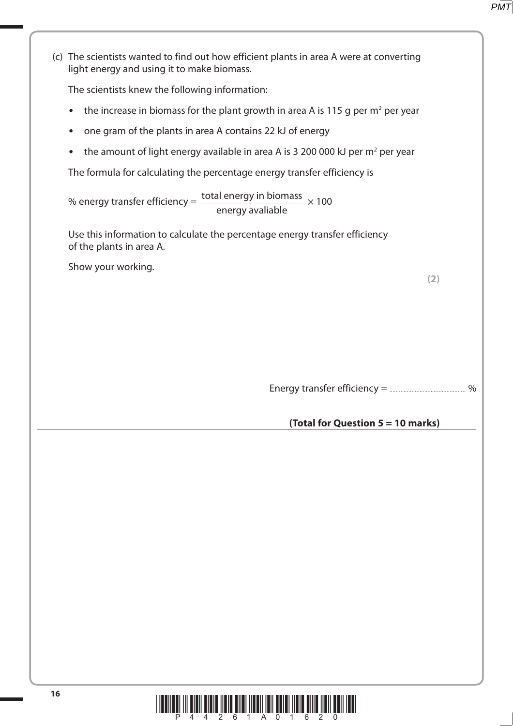(c) The scientists wanted to find out how efficient plants in area A were at converting light energy and using it to make biomass. The scientists knew the following information: • the increase in biomass for the plant growth in area A is 115 g per  $m<sup>2</sup>$  per year one gram of the plants in area A contains 22 kJ of energy • the amount of light energy available in area A is 3 200 000 kJ per  $m^2$  per year The formula for calculating the percentage energy transfer efficiency is % energy transfer efficiency  $=$   $\frac{\text{total energy in biomass}}{\text{mean}}$ energy avaliable  $\times$  100 Use this information to calculate the percentage energy transfer efficiency of the plants in area A. Show your working. **(2)** Energy transfer efficiency = ................................................ %

#### **(Total for Question 5 = 10 marks)**

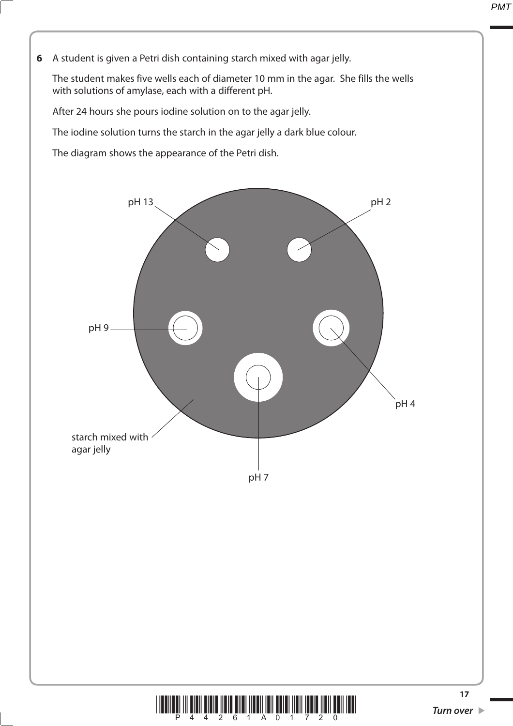**17**  $\lim_{4}$  **17**  $\lim_{4}$  **17**  $\lim_{2}$  **17**  $\lim_{6}$  **17**  $\lim_{10}$  **17**  $\lim_{2}$  **17**  $\lim_{2}$  **17**  $\lim_{10}$  **17**  $\lim_{10}$ **6** A student is given a Petri dish containing starch mixed with agar jelly. The student makes five wells each of diameter 10 mm in the agar. She fills the wells with solutions of amylase, each with a different pH. After 24 hours she pours iodine solution on to the agar jelly. The iodine solution turns the starch in the agar jelly a dark blue colour. The diagram shows the appearance of the Petri dish. pH 13 pH 2 pH 9 starch mixed with agar jelly pH 7  $pH$  4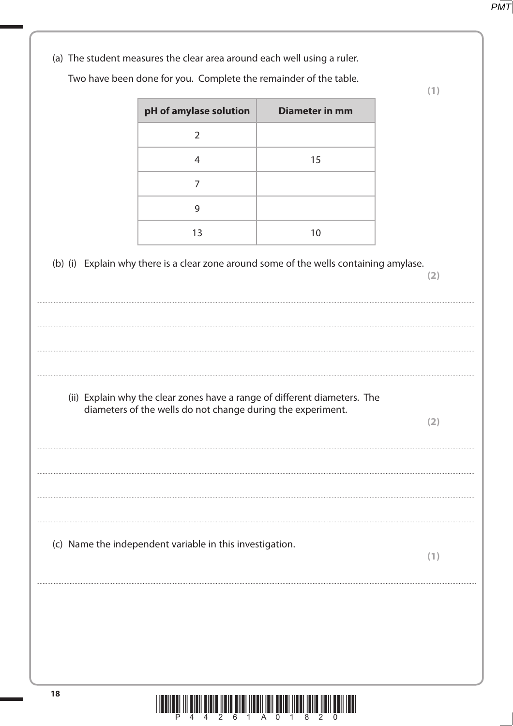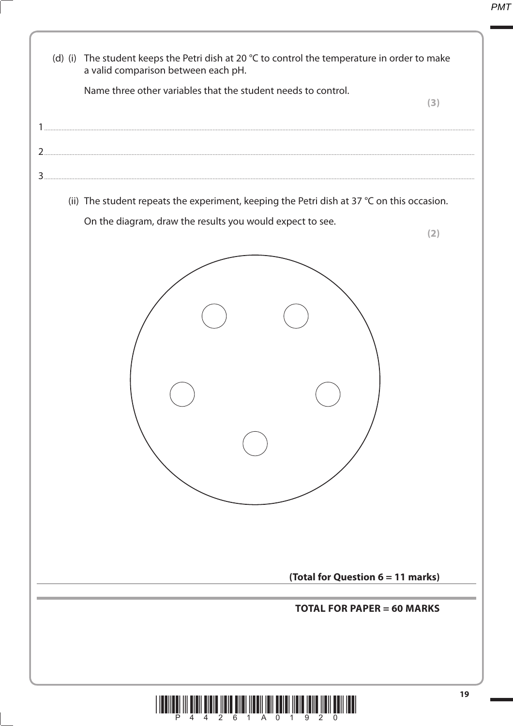

Î <sub>î</sub>n Îlan Îlan Îlan Ênal ÎlanÎ fan Ênal Îlan Îlan Îlan Êna